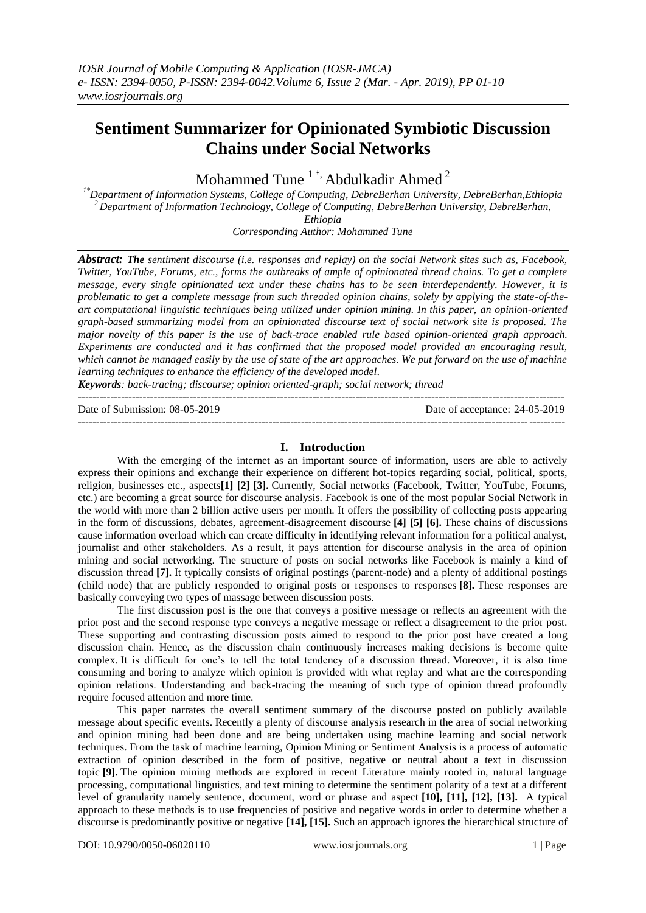# **Sentiment Summarizer for Opinionated Symbiotic Discussion Chains under Social Networks**

Mohammed Tune<sup>1\*</sup>, Abdulkadir Ahmed<sup>2</sup>

*1\*Department of Information Systems, College of Computing, DebreBerhan University, DebreBerhan,Ethiopia <sup>2</sup>Department of Information Technology, College of Computing, DebreBerhan University, DebreBerhan, Ethiopia Corresponding Author: Mohammed Tune*

*Abstract: The sentiment discourse (i.e. responses and replay) on the social Network sites such as, Facebook, Twitter, YouTube, Forums, etc., forms the outbreaks of ample of opinionated thread chains. To get a complete message, every single opinionated text under these chains has to be seen interdependently. However, it is problematic to get a complete message from such threaded opinion chains, solely by applying the state-of-theart computational linguistic techniques being utilized under opinion mining. In this paper, an opinion-oriented graph-based summarizing model from an opinionated discourse text of social network site is proposed. The major novelty of this paper is the use of back-trace enabled rule based opinion-oriented graph approach. Experiments are conducted and it has confirmed that the proposed model provided an encouraging result, which cannot be managed easily by the use of state of the art approaches. We put forward on the use of machine learning techniques to enhance the efficiency of the developed model.*

*Keywords: back-tracing; discourse; opinion oriented-graph; social network; thread* ---------------------------------------------------------------------------------------------------------------------------------------

Date of Submission: 08-05-2019 Date of acceptance: 24-05-2019 ---------------------------------------------------------------------------------------------------------------------------------------

# **I. Introduction**

With the emerging of the internet as an important source of information, users are able to actively express their opinions and exchange their experience on different hot-topics regarding social, political, sports, religion, businesses etc., aspects**[1] [2] [3].** Currently, Social networks (Facebook, Twitter, YouTube, Forums, etc.) are becoming a great source for discourse analysis. Facebook is one of the most popular Social Network in the world with more than 2 billion active users per month. It offers the possibility of collecting posts appearing in the form of discussions, debates, agreement-disagreement discourse **[4] [5] [6].** These chains of discussions cause information overload which can create difficulty in identifying relevant information for a political analyst, journalist and other stakeholders. As a result, it pays attention for discourse analysis in the area of opinion mining and social networking. The structure of posts on social networks like Facebook is mainly a kind of discussion thread **[7].** It typically consists of original postings (parent-node) and a plenty of additional postings (child node) that are publicly responded to original posts or responses to responses **[8].** These responses are basically conveying two types of massage between discussion posts.

The first discussion post is the one that conveys a positive message or reflects an agreement with the prior post and the second response type conveys a negative message or reflect a disagreement to the prior post. These supporting and contrasting discussion posts aimed to respond to the prior post have created a long discussion chain. Hence, as the discussion chain continuously increases making decisions is become quite complex. It is difficult for one's to tell the total tendency of a discussion thread. Moreover, it is also time consuming and boring to analyze which opinion is provided with what replay and what are the corresponding opinion relations. Understanding and back-tracing the meaning of such type of opinion thread profoundly require focused attention and more time.

This paper narrates the overall sentiment summary of the discourse posted on publicly available message about specific events. Recently a plenty of discourse analysis research in the area of social networking and opinion mining had been done and are being undertaken using machine learning and social network techniques. From the task of machine learning, Opinion Mining or Sentiment Analysis is a process of automatic extraction of opinion described in the form of positive, negative or neutral about a text in discussion topic **[9].** The opinion mining methods are explored in recent Literature mainly rooted in, natural language processing, computational linguistics, and text mining to determine the sentiment polarity of a text at a different level of granularity namely sentence, document, word or phrase and aspect **[10], [11], [12], [13].** A typical approach to these methods is to use frequencies of positive and negative words in order to determine whether a discourse is predominantly positive or negative **[14], [15].** Such an approach ignores the hierarchical structure of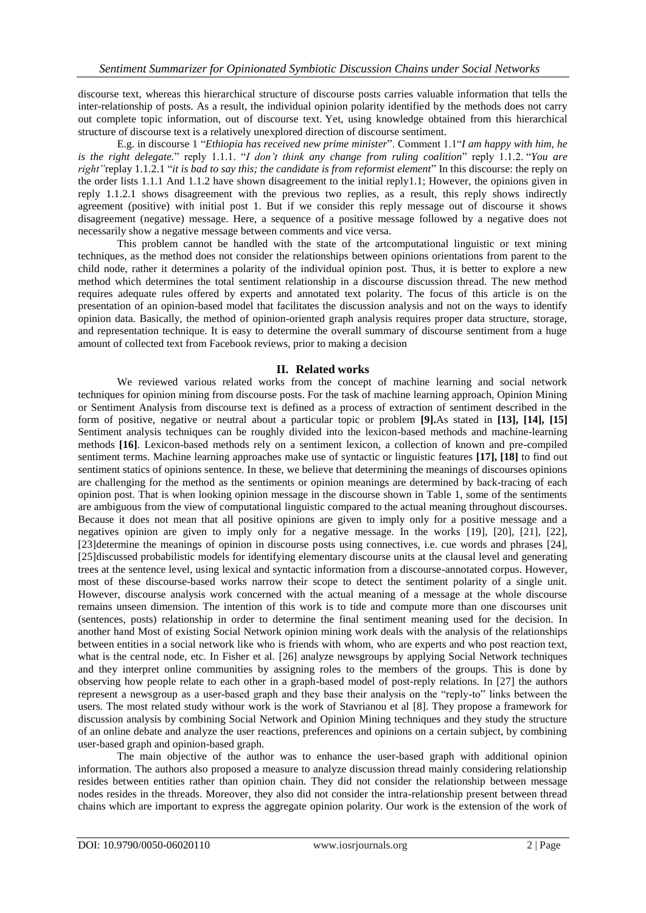discourse text, whereas this hierarchical structure of discourse posts carries valuable information that tells the inter-relationship of posts. As a result, the individual opinion polarity identified by the methods does not carry out complete topic information, out of discourse text. Yet, using knowledge obtained from this hierarchical structure of discourse text is a relatively unexplored direction of discourse sentiment.

E.g. in discourse 1 "*Ethiopia has received new prime minister*". Comment 1.1"*I am happy with him, he is the right delegate.*" reply 1.1.1. "*I don't think any change from ruling coalition*" reply 1.1.2. "*You are right"*replay 1.1.2.1 "*it is bad to say this; the candidate is from reformist element*" In this discourse: the reply on the order lists 1.1.1 And 1.1.2 have shown disagreement to the initial reply1.1; However, the opinions given in reply 1.1.2.1 shows disagreement with the previous two replies, as a result, this reply shows indirectly agreement (positive) with initial post 1. But if we consider this reply message out of discourse it shows disagreement (negative) message. Here, a sequence of a positive message followed by a negative does not necessarily show a negative message between comments and vice versa.

This problem cannot be handled with the state of the artcomputational linguistic or text mining techniques, as the method does not consider the relationships between opinions orientations from parent to the child node, rather it determines a polarity of the individual opinion post. Thus, it is better to explore a new method which determines the total sentiment relationship in a discourse discussion thread. The new method requires adequate rules offered by experts and annotated text polarity. The focus of this article is on the presentation of an opinion-based model that facilitates the discussion analysis and not on the ways to identify opinion data. Basically, the method of opinion-oriented graph analysis requires proper data structure, storage, and representation technique. It is easy to determine the overall summary of discourse sentiment from a huge amount of collected text from Facebook reviews, prior to making a decision

# **II. Related works**

We reviewed various related works from the concept of machine learning and social network techniques for opinion mining from discourse posts. For the task of machine learning approach, Opinion Mining or Sentiment Analysis from discourse text is defined as a process of extraction of sentiment described in the form of positive, negative or neutral about a particular topic or problem **[9].**As stated in **[13], [14], [15]** Sentiment analysis techniques can be roughly divided into the lexicon-based methods and machine-learning methods **[16]**. Lexicon-based methods rely on a sentiment lexicon, a collection of known and pre-compiled sentiment terms. Machine learning approaches make use of syntactic or linguistic features **[17], [18]** to find out sentiment statics of opinions sentence. In these, we believe that determining the meanings of discourses opinions are challenging for the method as the sentiments or opinion meanings are determined by back-tracing of each opinion post. That is when looking opinion message in the discourse shown in Table 1, some of the sentiments are ambiguous from the view of computational linguistic compared to the actual meaning throughout discourses. Because it does not mean that all positive opinions are given to imply only for a positive message and a negatives opinion are given to imply only for a negative message. In the works [19], [20], [21], [22], [23]determine the meanings of opinion in discourse posts using connectives, i.e. cue words and phrases [24], [25]discussed probabilistic models for identifying elementary discourse units at the clausal level and generating trees at the sentence level, using lexical and syntactic information from a discourse-annotated corpus. However, most of these discourse-based works narrow their scope to detect the sentiment polarity of a single unit. However, discourse analysis work concerned with the actual meaning of a message at the whole discourse remains unseen dimension. The intention of this work is to tide and compute more than one discourses unit (sentences, posts) relationship in order to determine the final sentiment meaning used for the decision. In another hand Most of existing Social Network opinion mining work deals with the analysis of the relationships between entities in a social network like who is friends with whom, who are experts and who post reaction text, what is the central node, etc. In Fisher et al. [26] analyze newsgroups by applying Social Network techniques and they interpret online communities by assigning roles to the members of the groups. This is done by observing how people relate to each other in a graph-based model of post-reply relations. In [27] the authors represent a newsgroup as a user-based graph and they base their analysis on the "reply-to" links between the users. The most related study withour work is the work of Stavrianou et al [8]. They propose a framework for discussion analysis by combining Social Network and Opinion Mining techniques and they study the structure of an online debate and analyze the user reactions, preferences and opinions on a certain subject, by combining user-based graph and opinion-based graph.

The main objective of the author was to enhance the user-based graph with additional opinion information. The authors also proposed a measure to analyze discussion thread mainly considering relationship resides between entities rather than opinion chain. They did not consider the relationship between message nodes resides in the threads. Moreover, they also did not consider the intra-relationship present between thread chains which are important to express the aggregate opinion polarity. Our work is the extension of the work of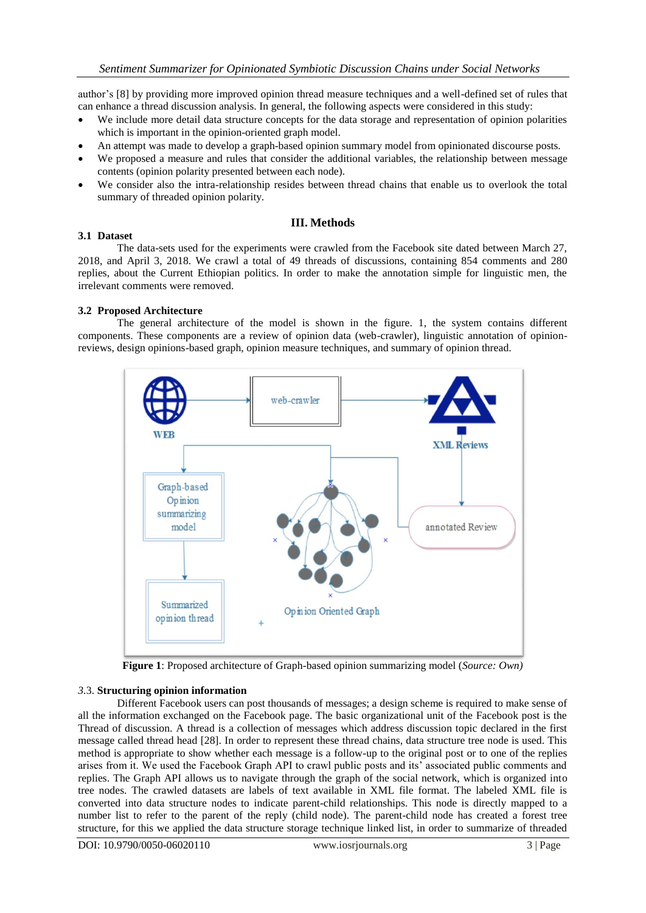author's [8] by providing more improved opinion thread measure techniques and a well-defined set of rules that can enhance a thread discussion analysis. In general, the following aspects were considered in this study:

- We include more detail data structure concepts for the data storage and representation of opinion polarities which is important in the opinion-oriented graph model.
- An attempt was made to develop a graph-based opinion summary model from opinionated discourse posts.
- We proposed a measure and rules that consider the additional variables, the relationship between message contents (opinion polarity presented between each node).
- We consider also the intra-relationship resides between thread chains that enable us to overlook the total summary of threaded opinion polarity.

# **III. Methods**

# **3.1 Dataset**

The data-sets used for the experiments were crawled from the Facebook site dated between March 27, 2018, and April 3, 2018. We crawl a total of 49 threads of discussions, containing 854 comments and 280 replies, about the Current Ethiopian politics. In order to make the annotation simple for linguistic men, the irrelevant comments were removed.

# **3.2 Proposed Architecture**

The general architecture of the model is shown in the figure. 1, the system contains different components. These components are a review of opinion data (web-crawler), linguistic annotation of opinionreviews, design opinions-based graph, opinion measure techniques, and summary of opinion thread.



**Figure 1**: Proposed architecture of Graph-based opinion summarizing model (*Source: Own)*

## *3.*3. **Structuring opinion information**

Different Facebook users can post thousands of messages; a design scheme is required to make sense of all the information exchanged on the Facebook page. The basic organizational unit of the Facebook post is the Thread of discussion. A thread is a collection of messages which address discussion topic declared in the first message called thread head [28]. In order to represent these thread chains, data structure tree node is used. This method is appropriate to show whether each message is a follow-up to the original post or to one of the replies arises from it. We used the Facebook Graph API to crawl public posts and its' associated public comments and replies. The Graph API allows us to navigate through the graph of the social network, which is organized into tree nodes. The crawled datasets are labels of text available in XML file format. The labeled XML file is converted into data structure nodes to indicate parent-child relationships. This node is directly mapped to a number list to refer to the parent of the reply (child node). The parent-child node has created a forest tree structure, for this we applied the data structure storage technique linked list, in order to summarize of threaded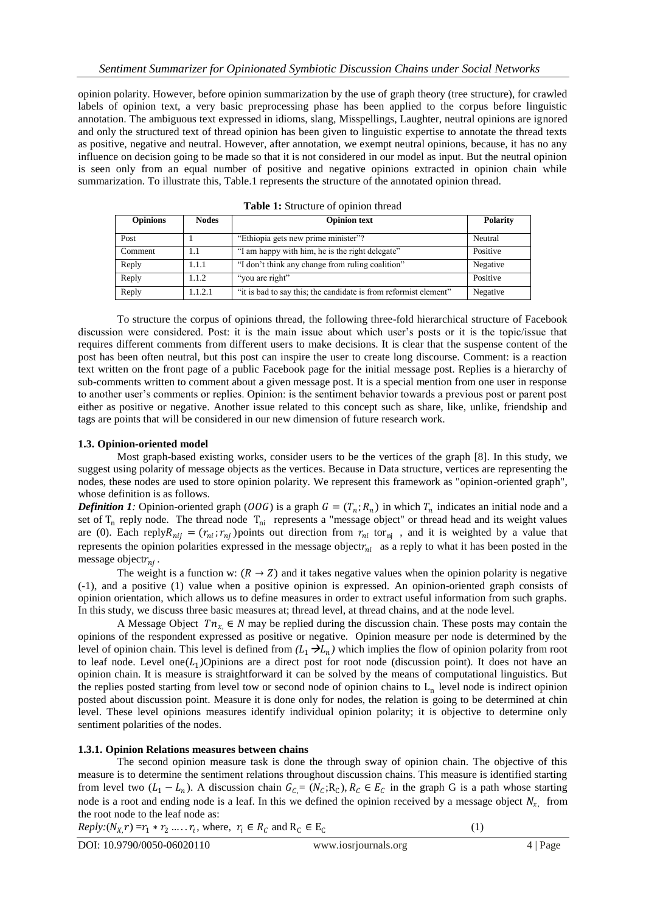opinion polarity. However, before opinion summarization by the use of graph theory (tree structure), for crawled labels of opinion text, a very basic preprocessing phase has been applied to the corpus before linguistic annotation. The ambiguous text expressed in idioms, slang, Misspellings, Laughter, neutral opinions are ignored and only the structured text of thread opinion has been given to linguistic expertise to annotate the thread texts as positive, negative and neutral. However, after annotation, we exempt neutral opinions, because, it has no any influence on decision going to be made so that it is not considered in our model as input. But the neutral opinion is seen only from an equal number of positive and negative opinions extracted in opinion chain while summarization. To illustrate this, Table.1 represents the structure of the annotated opinion thread.

| <b>Opinions</b> | <b>Nodes</b> | <b>Opinion text</b>                                              | <b>Polarity</b> |
|-----------------|--------------|------------------------------------------------------------------|-----------------|
| Post            |              | "Ethiopia gets new prime minister"?                              | Neutral         |
| Comment         | 1.1          | "I am happy with him, he is the right delegate"                  | Positive        |
| Reply           | 1.1.1        | "I don't think any change from ruling coalition"                 | Negative        |
| Reply           | 1.1.2        | "you are right"                                                  | Positive        |
| Reply           | 1.1.2.1      | "it is bad to say this; the candidate is from reformist element" | Negative        |

**Table 1:** Structure of opinion thread

To structure the corpus of opinions thread, the following three-fold hierarchical structure of Facebook discussion were considered. Post: it is the main issue about which user's posts or it is the topic/issue that requires different comments from different users to make decisions. It is clear that the suspense content of the post has been often neutral, but this post can inspire the user to create long discourse. Comment: is a reaction text written on the front page of a public Facebook page for the initial message post. Replies is a hierarchy of sub-comments written to comment about a given message post. It is a special mention from one user in response to another user's comments or replies. Opinion: is the sentiment behavior towards a previous post or parent post either as positive or negative. Another issue related to this concept such as share, like, unlike, friendship and tags are points that will be considered in our new dimension of future research work.

## **1.3. Opinion-oriented model**

Most graph-based existing works, consider users to be the vertices of the graph [8]. In this study, we suggest using polarity of message objects as the vertices. Because in Data structure, vertices are representing the nodes, these nodes are used to store opinion polarity. We represent this framework as "opinion-oriented graph", whose definition is as follows.

*Definition 1:* Opinion-oriented graph (*OOG*) is a graph  $G = (T_n; R_n)$  in which  $T_n$  indicates an initial node and a set of  $T_n$  reply node. The thread node  $T_{ni}$  represents a "message object" or thread head and its weight values are (0). Each reply  $R_{nij} = (r_{ni}, r_{nj})$  points out direction from  $r_{ni}$  tor<sub>nj</sub>, and it is weighted by a value that represents the opinion polarities expressed in the message objectr<sub>ni</sub> as a reply to what it has been posted in the message object $r_{nj}$ .

The weight is a function w:  $(R \rightarrow Z)$  and it takes negative values when the opinion polarity is negative (-1), and a positive (1) value when a positive opinion is expressed. An opinion-oriented graph consists of opinion orientation, which allows us to define measures in order to extract useful information from such graphs. In this study, we discuss three basic measures at; thread level, at thread chains, and at the node level.

A Message Object  $T_n \in N$  may be replied during the discussion chain. These posts may contain the opinions of the respondent expressed as positive or negative. Opinion measure per node is determined by the level of opinion chain. This level is defined from  $(L_1 \rightarrow L_n)$  which implies the flow of opinion polarity from root to leaf node. Level one $(L_1)$ Opinions are a direct post for root node (discussion point). It does not have an opinion chain. It is measure is straightforward it can be solved by the means of computational linguistics. But the replies posted starting from level tow or second node of opinion chains to  $L_n$  level node is indirect opinion posted about discussion point. Measure it is done only for nodes, the relation is going to be determined at chin level. These level opinions measures identify individual opinion polarity; it is objective to determine only sentiment polarities of the nodes.

## **1.3.1. Opinion Relations measures between chains**

The second opinion measure task is done the through sway of opinion chain. The objective of this measure is to determine the sentiment relations throughout discussion chains. This measure is identified starting from level two  $(L_1 - L_n)$ . A discussion chain  $G_{C} = (N_C; R_C)$ ,  $R_C \in E_C$  in the graph G is a path whose starting node is a root and ending node is a leaf. In this we defined the opinion received by a message object  $N_{x}$ , from the root node to the leaf node as:

 $Reply: (N_X,r) = r_1 * r_2 \dots r_i$ , where,  $r_i \in R_C$  and  $R_C \in E_C$ 

(1)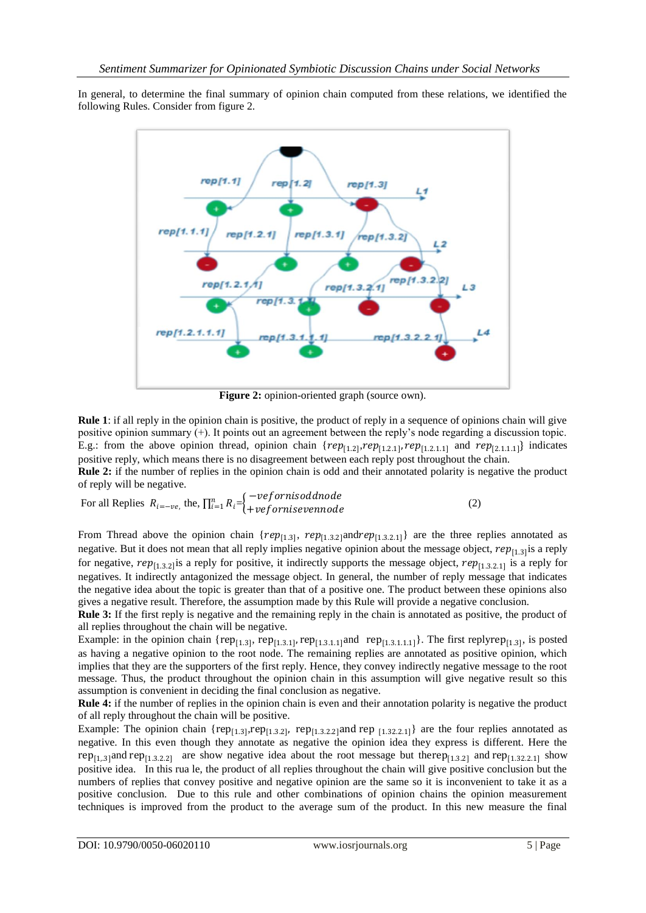In general, to determine the final summary of opinion chain computed from these relations, we identified the following Rules. Consider from figure 2.



**Figure 2:** opinion-oriented graph (source own).

**Rule 1**: if all reply in the opinion chain is positive, the product of reply in a sequence of opinions chain will give positive opinion summary (+). It points out an agreement between the reply's node regarding a discussion topic. E.g.: from the above opinion thread, opinion chain  $\{rep_{[1,2]}, rep_{[1,2,1]}, rep_{[1,2,1,1]} \}$  indicates positive reply, which means there is no disagreement between each reply post throughout the chain.

**Rule 2:** if the number of replies in the opinion chain is odd and their annotated polarity is negative the product of reply will be negative.

For all Replies 
$$
R_{i=-ve}
$$
, the,  $\prod_{i=1}^{n} R_i = \begin{cases} -vefornisoddnode \\ +vefornisevennode \end{cases}$  (2)

From Thread above the opinion chain { $rep_{[1,3]}$ ,  $rep_{[1,3,2]}$  and  $rep_{[1,3,2,1]}$ } are the three replies annotated as negative. But it does not mean that all reply implies negative opinion about the message object,  $rep_{[1,3]}$  is a reply for negative,  $rep_{[1,3,2]}$  is a reply for positive, it indirectly supports the message object,  $rep_{[1,3,2,1]}$  is a reply for negatives. It indirectly antagonized the message object. In general, the number of reply message that indicates the negative idea about the topic is greater than that of a positive one. The product between these opinions also gives a negative result. Therefore, the assumption made by this Rule will provide a negative conclusion.

**Rule 3:** If the first reply is negative and the remaining reply in the chain is annotated as positive, the product of all replies throughout the chain will be negative.

Example: in the opinion chain { $rep_{[1.3]}$ ,  $rep_{[1.3.1]}$ ,  $rep_{[1.3.1.1]}$  and  $rep_{[1.3.1.1.1]}$ }. The first replyrep $_{[1.3]}$ , is posted as having a negative opinion to the root node. The remaining replies are annotated as positive opinion, which implies that they are the supporters of the first reply. Hence, they convey indirectly negative message to the root message. Thus, the product throughout the opinion chain in this assumption will give negative result so this assumption is convenient in deciding the final conclusion as negative.

**Rule 4:** if the number of replies in the opinion chain is even and their annotation polarity is negative the product of all reply throughout the chain will be positive.

Example: The opinion chain { $rep_{[1,3]}$ ,rep<sub>[1.3.2]</sub>, rep<sub>[1.3.2.2]</sub>and rep  $_{[1,32.2.1]}$ } are the four replies annotated as negative. In this even though they annotate as negative the opinion idea they express is different. Here the rep<sub>[1,3]</sub>and rep<sub>[1,3,2,2]</sub> are show negative idea about the root message but therep<sub>[1,3,2]</sub> and rep<sub>[1,32,2,1]</sub> show positive idea. In this rua le, the product of all replies throughout the chain will give positive conclusion but the numbers of replies that convey positive and negative opinion are the same so it is inconvenient to take it as a positive conclusion. Due to this rule and other combinations of opinion chains the opinion measurement techniques is improved from the product to the average sum of the product. In this new measure the final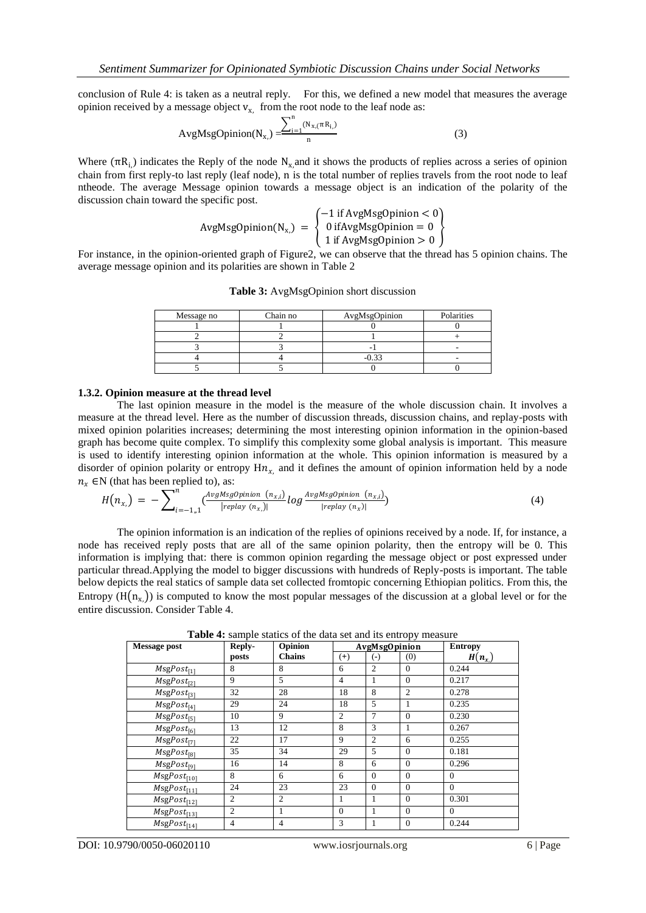conclusion of Rule 4: is taken as a neutral reply. For this, we defined a new model that measures the average opinion received by a message object  $v_{x}$ , from the root node to the leaf node as:

$$
AvgMsgOption(N_{x}) = \frac{\sum_{i=1}^{n} (N_{x,(T}R_{i})}{n}
$$
 (3)

Where  $(\pi R_{i})$  indicates the Reply of the node  $N_x$ , and it shows the products of replies across a series of opinion chain from first reply-to last reply (leaf node), n is the total number of replies travels from the root node to leaf ntheode. The average Message opinion towards a message object is an indication of the polarity of the discussion chain toward the specific post.

$$
AvgMsgOption(N_{x,}) = \begin{cases} -1 \text{ if AvgMsgOption} < 0\\ 0 \text{ ifAvgMsgOption} = 0\\ 1 \text{ if AvgMsgOption} > 0 \end{cases}
$$

For instance, in the opinion-oriented graph of Figure2, we can observe that the thread has 5 opinion chains. The average message opinion and its polarities are shown in Table 2

| Message no | Chain no | AvgMsgOpinion | Polarities |
|------------|----------|---------------|------------|
|            |          |               |            |
|            |          |               |            |
|            |          |               |            |
|            |          |               |            |
|            |          |               |            |

**Table 3:** AvgMsgOpinion short discussion

#### **1.3.2. Opinion measure at the thread level**

The last opinion measure in the model is the measure of the whole discussion chain. It involves a measure at the thread level. Here as the number of discussion threads, discussion chains, and replay-posts with mixed opinion polarities increases; determining the most interesting opinion information in the opinion-based graph has become quite complex. To simplify this complexity some global analysis is important. This measure is used to identify interesting opinion information at the whole. This opinion information is measured by a disorder of opinion polarity or entropy  $\text{H}n_{x}$  and it defines the amount of opinion information held by a node  $n_x \in N$  (that has been replied to), as:

$$
H(n_{x}) = -\sum_{i=-1,1}^{n} \left( \frac{\text{AvgMsgOpinion}(n_{x,i})}{\left| \text{replay}(n_x) \right|} \log \frac{\text{AvgMsgOpinion}(n_{x,i})}{\left| \text{replay}(n_x) \right|} \right) \tag{4}
$$

The opinion information is an indication of the replies of opinions received by a node. If, for instance, a node has received reply posts that are all of the same opinion polarity, then the entropy will be 0. This information is implying that: there is common opinion regarding the message object or post expressed under particular thread.Applying the model to bigger discussions with hundreds of Reply-posts is important. The table below depicts the real statics of sample data set collected fromtopic concerning Ethiopian politics. From this, the Entropy  $(H(n_x))$  is computed to know the most popular messages of the discussion at a global level or for the entire discussion. Consider Table 4.

**Table 4:** sample statics of the data set and its entropy measure

| <b>Message post</b>                   | Reply-         | Opinion        | <b>AvgMsgOpinion</b> |                    |                | <b>Entropy</b> |
|---------------------------------------|----------------|----------------|----------------------|--------------------|----------------|----------------|
|                                       | posts          | <b>Chains</b>  | $^{(+)}$             | $(\textnormal{-})$ | (0)            | $H(n_{x})$     |
| $M$ sgPost <sub>[1]</sub>             | 8              | 8              | 6                    | $\overline{c}$     | $\overline{0}$ | 0.244          |
| $\overline{M}$ sgPost <sub>[2]</sub>  | 9              | 5              | $\overline{4}$       |                    | $\overline{0}$ | 0.217          |
| $\overline{M}$ sgPost <sub>[3]</sub>  | 32             | 28             | 18                   | 8                  | $\overline{c}$ | 0.278          |
| $MsgPost_{[4]}$                       | 29             | 24             | 18                   | 5                  |                | 0.235          |
| $MsgPost_{[5]}$                       | 10             | 9              | $\overline{c}$       | 7                  | $\Omega$       | 0.230          |
| $MsgPost_{[6]}$                       | 13             | 12             | 8                    | 3                  | 1              | 0.267          |
| $MsgPost_{[7]}$                       | 22             | 17             | 9                    | $\overline{c}$     | 6              | 0.255          |
| $MsgPost_{[8]}$                       | 35             | 34             | 29                   | 5                  | $\Omega$       | 0.181          |
| $MsgPost_{[9]}$                       | 16             | 14             | 8                    | 6                  | $\Omega$       | 0.296          |
| $\overline{M}$ sgPost <sub>[10]</sub> | 8              | 6              | 6                    | $\Omega$           | $\Omega$       | $\theta$       |
| $\overline{MsgPost}_{[11]}$           | 24             | 23             | 23                   | $\Omega$           | $\Omega$       | $\Omega$       |
| $MsgPost_{[12]}$                      | 2              | $\mathfrak{2}$ | 1                    |                    | $\overline{0}$ | 0.301          |
| $MsgPost_{[13]}$                      | $\overline{2}$ |                | $\theta$             | 1                  | $\Omega$       | $\Omega$       |
| $\overline{MsgPost}_{[14]}$           | $\overline{4}$ | $\overline{4}$ | 3                    |                    | $\mathbf{0}$   | 0.244          |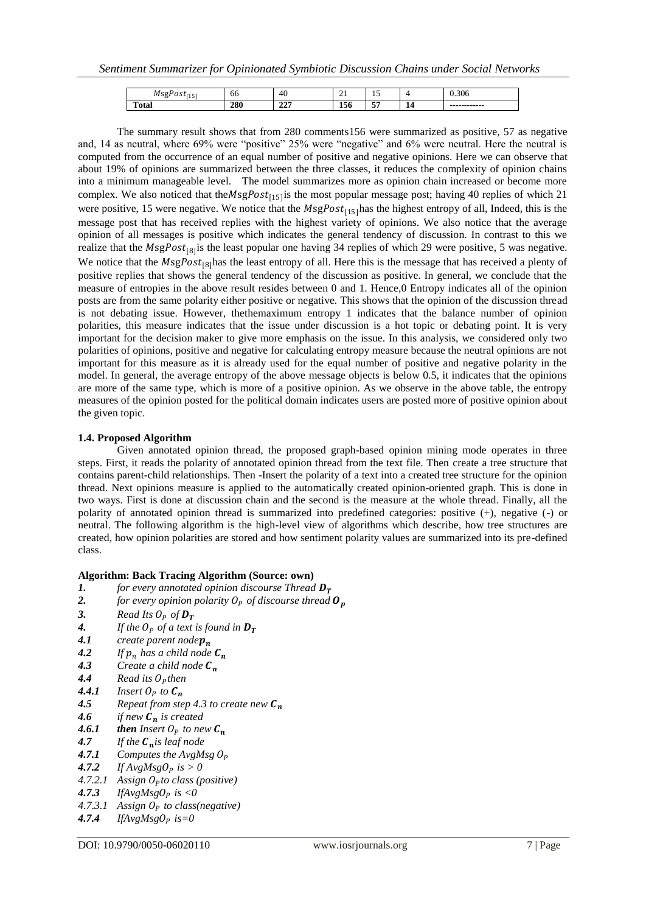| $\sim$<br>.<br>.<br>. .<br>ر 1 | -66 | 4U                       | ∠⊥                                     | <b>I</b> J |    | $\sim$ $\sim$<br>U.SUO |
|--------------------------------|-----|--------------------------|----------------------------------------|------------|----|------------------------|
| --<br>Total                    | 280 | $\Delta \Delta F$<br>441 | $-$<br>120<br>$\overline{\phantom{a}}$ | $-$        | 14 | ------------           |

The summary result shows that from 280 comments156 were summarized as positive, 57 as negative and, 14 as neutral, where 69% were "positive" 25% were "negative" and 6% were neutral. Here the neutral is computed from the occurrence of an equal number of positive and negative opinions. Here we can observe that about 19% of opinions are summarized between the three classes, it reduces the complexity of opinion chains into a minimum manageable level. The model summarizes more as opinion chain increased or become more complex. We also noticed that the  $MsgPost_{[15]}$  is the most popular message post; having 40 replies of which 21 were positive, 15 were negative. We notice that the  $MsgPost_{1151}$ has the highest entropy of all, Indeed, this is the message post that has received replies with the highest variety of opinions. We also notice that the average opinion of all messages is positive which indicates the general tendency of discussion. In contrast to this we realize that the MsgPost<sub>[8]</sub> is the least popular one having 34 replies of which 29 were positive, 5 was negative. We notice that the  $MsgPost_{[8]}$ has the least entropy of all. Here this is the message that has received a plenty of positive replies that shows the general tendency of the discussion as positive. In general, we conclude that the measure of entropies in the above result resides between 0 and 1. Hence,0 Entropy indicates all of the opinion posts are from the same polarity either positive or negative. This shows that the opinion of the discussion thread is not debating issue. However, thethemaximum entropy 1 indicates that the balance number of opinion polarities, this measure indicates that the issue under discussion is a hot topic or debating point. It is very important for the decision maker to give more emphasis on the issue. In this analysis, we considered only two polarities of opinions, positive and negative for calculating entropy measure because the neutral opinions are not important for this measure as it is already used for the equal number of positive and negative polarity in the model. In general, the average entropy of the above message objects is below 0.5, it indicates that the opinions are more of the same type, which is more of a positive opinion. As we observe in the above table, the entropy measures of the opinion posted for the political domain indicates users are posted more of positive opinion about the given topic.

## **1.4. Proposed Algorithm**

Given annotated opinion thread, the proposed graph-based opinion mining mode operates in three steps. First, it reads the polarity of annotated opinion thread from the text file. Then create a tree structure that contains parent-child relationships. Then -Insert the polarity of a text into a created tree structure for the opinion thread. Next opinions measure is applied to the automatically created opinion-oriented graph. This is done in two ways. First is done at discussion chain and the second is the measure at the whole thread. Finally, all the polarity of annotated opinion thread is summarized into predefined categories: positive (+), negative (-) or neutral. The following algorithm is the high-level view of algorithms which describe, how tree structures are created, how opinion polarities are stored and how sentiment polarity values are summarized into its pre-defined class.

## **Algorithm: Back Tracing Algorithm (Source: own)**

- **1.** *for every annotated opinion discourse Thread D<sub>T</sub>***<br>2. <b>***for every opinion polarity O<sub>p</sub> of discourse thread*
- 2. *for every opinion polarity O<sub>P</sub> of discourse thread*  $\mathbf{O}_p$ <br>3. *Read Its O<sub>p</sub> of*  $\mathbf{D}_r$
- 3. **Read Its O<sub>p</sub> of**  $D_T$ <br>4. If the O<sub>p</sub> of a text
- *4. If the O<sub>P</sub> of a text is found in*  $D_T$ <br>*4.1 create parent node* $p_n$
- **4.1** *create parent node* $p_n$ <br>**4.2** *If*  $p_n$  *has a child node*
- **4.2** *If*  $p_n$  has a child node  $C_n$ <br>**4.3** *Create a child node*  $C_n$
- *4.3 Create a child node*
- 4.4 *Read its O<sub>p</sub> then*<br>4.4.1 *Insert O<sub>p</sub> to C<sub>n</sub>*
- **4.4.1 Insert O<sub>p</sub> to**  $C_n$ <br>**4.5** *Repeat from ste*
- **4.5** *Repeat from step 4.3 to create new*  $C_n$  **<b>4.6** *if new*  $C_n$  *is created*
- **4.6** *if new*  $C_n$  *is created*<br>**4.6.1** *then Insert*  $O_p$  *to ne*
- **4.6.1** *then Insert*  $O_P$  *to new*  $C_n$ <br>**4.7** *If the*  $C_n$  *is leaf node*
- 4.7 If the  $C_n$  *is leaf node*<br>4.7.1 Computes the AvgM
- **4.7.1** *Computes the AvgMsg*  $O_p$ <br>**4.7.2** *If AvgMsg* $O_p$  *is*  $> 0$
- *If AvgMsg*  $0_p$  *is*  $> 0$
- *4.7.2.1 Assign to class (positive)*
- 4.7.3 *IfAvgMsgO<sub>p</sub>* is <0
- *4.7.3.1 Assign O<sub>P</sub> to class(negative)*<br>**4.7.4** *IfAvgMsgO<sub>P</sub> is*=0
- $IfAvgMsgO<sub>p</sub>$  *is*=0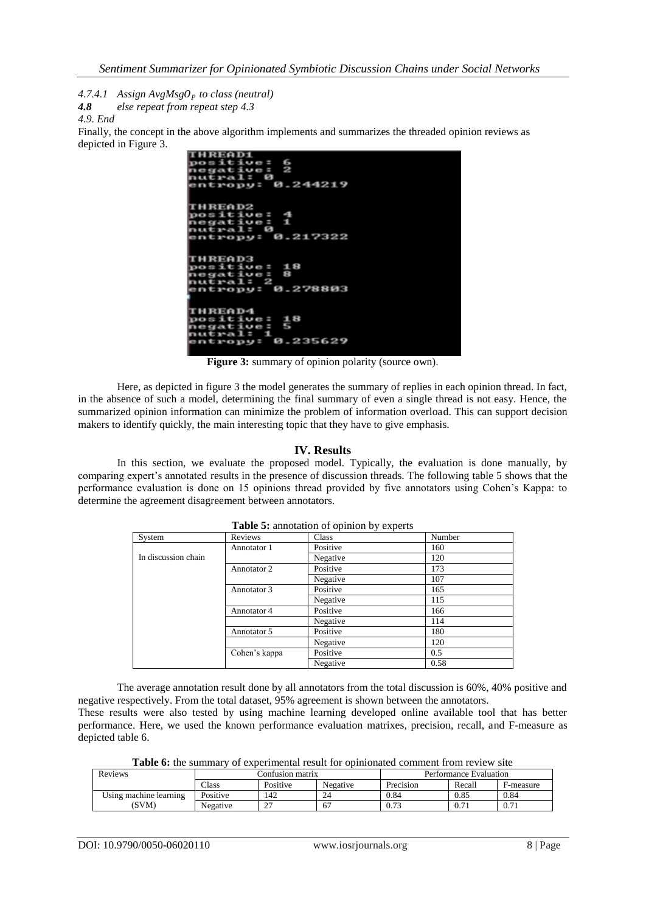*4.7.4.1 Assign AvgMsgO<sub>P</sub> to class (neutral)*<br>**4.8** *else repeat from repeat step 4.3* 

*4.8 else repeat from repeat step 4.3*

*4.9. End*

Finally, the concept in the above algorithm implements and summarizes the threaded opinion reviews as depicted in Figure 3.

| <b>THREAD1</b>    |  |
|-------------------|--|
| positive: 6       |  |
| negative: 2       |  |
| nutral: 0         |  |
| entropy: 0.244219 |  |
|                   |  |
| <b>THREAD2</b>    |  |
| positive: 4       |  |
| negative: 1       |  |
| nutral: 0         |  |
| entropy: 0.217322 |  |
|                   |  |
|                   |  |
| <b>THREAD3</b>    |  |
| positive: 18      |  |
| negative: 8       |  |
| nutral: 2         |  |
| entropy: 0.278803 |  |
|                   |  |
|                   |  |
| <b>THREAD4</b>    |  |
| positive: 18      |  |
| negative: 5       |  |
| nutral: 1         |  |
| entropy: 0.235629 |  |
|                   |  |

Figure 3: summary of opinion polarity (source own).

Here, as depicted in figure 3 the model generates the summary of replies in each opinion thread. In fact, in the absence of such a model, determining the final summary of even a single thread is not easy. Hence, the summarized opinion information can minimize the problem of information overload. This can support decision makers to identify quickly, the main interesting topic that they have to give emphasis.

# **IV. Results**

In this section, we evaluate the proposed model. Typically, the evaluation is done manually, by comparing expert's annotated results in the presence of discussion threads. The following table 5 shows that the performance evaluation is done on 15 opinions thread provided by five annotators using Cohen's Kappa: to determine the agreement disagreement between annotators.

| System              | Reviews       | Class    | Number |
|---------------------|---------------|----------|--------|
|                     | Annotator 1   | Positive | 160    |
| In discussion chain |               | Negative | 120    |
|                     | Annotator 2   | Positive | 173    |
|                     |               | Negative | 107    |
|                     | Annotator 3   | Positive | 165    |
|                     |               | Negative | 115    |
|                     | Annotator 4   | Positive | 166    |
|                     |               | Negative | 114    |
|                     | Annotator 5   | Positive | 180    |
|                     |               | Negative | 120    |
|                     | Cohen's kappa | Positive | 0.5    |
|                     |               | Negative | 0.58   |

**Table 5:** annotation of opinion by experts

The average annotation result done by all annotators from the total discussion is 60%, 40% positive and negative respectively. From the total dataset, 95% agreement is shown between the annotators. These results were also tested by using machine learning developed online available tool that has better

performance. Here, we used the known performance evaluation matrixes, precision, recall, and F-measure as depicted table 6.

Table 6: the summary of experimental result for opinionated comment from review site

| Reviews                | Confusion matrix |               |          | Performance Evaluation |           |           |
|------------------------|------------------|---------------|----------|------------------------|-----------|-----------|
|                        | $\text{Class}$   | Positive      | Negative | Precision              | Recall    | F-measure |
| Using machine learning | Positive         | 142           | 24       | 0.84                   | 0.85      | 0.84      |
| (SVM)                  | Negative         | $\sim$<br>ر ب | 67       | 0.73                   | $_{0.71}$ | 0.71      |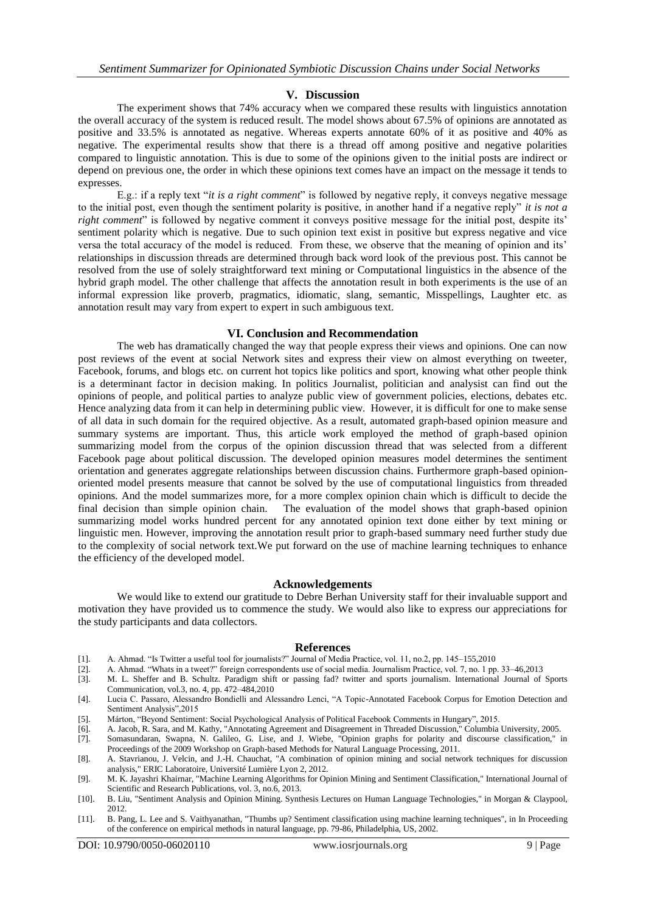## **V. Discussion**

The experiment shows that 74% accuracy when we compared these results with linguistics annotation the overall accuracy of the system is reduced result. The model shows about 67.5% of opinions are annotated as positive and 33.5% is annotated as negative. Whereas experts annotate 60% of it as positive and 40% as negative. The experimental results show that there is a thread off among positive and negative polarities compared to linguistic annotation. This is due to some of the opinions given to the initial posts are indirect or depend on previous one, the order in which these opinions text comes have an impact on the message it tends to expresses.

E.g.: if a reply text "*it is a right comment*" is followed by negative reply, it conveys negative message to the initial post, even though the sentiment polarity is positive, in another hand if a negative reply" *it is not a right comment*" is followed by negative comment it conveys positive message for the initial post, despite its' sentiment polarity which is negative. Due to such opinion text exist in positive but express negative and vice versa the total accuracy of the model is reduced. From these, we observe that the meaning of opinion and its' relationships in discussion threads are determined through back word look of the previous post. This cannot be resolved from the use of solely straightforward text mining or Computational linguistics in the absence of the hybrid graph model. The other challenge that affects the annotation result in both experiments is the use of an informal expression like proverb, pragmatics, idiomatic, slang, semantic, Misspellings, Laughter etc. as annotation result may vary from expert to expert in such ambiguous text.

## **VI. Conclusion and Recommendation**

The web has dramatically changed the way that people express their views and opinions. One can now post reviews of the event at social Network sites and express their view on almost everything on tweeter, Facebook, forums, and blogs etc. on current hot topics like politics and sport, knowing what other people think is a determinant factor in decision making. In politics Journalist, politician and analysist can find out the opinions of people, and political parties to analyze public view of government policies, elections, debates etc. Hence analyzing data from it can help in determining public view. However, it is difficult for one to make sense of all data in such domain for the required objective. As a result, automated graph-based opinion measure and summary systems are important. Thus, this article work employed the method of graph-based opinion summarizing model from the corpus of the opinion discussion thread that was selected from a different Facebook page about political discussion. The developed opinion measures model determines the sentiment orientation and generates aggregate relationships between discussion chains. Furthermore graph-based opinionoriented model presents measure that cannot be solved by the use of computational linguistics from threaded opinions. And the model summarizes more, for a more complex opinion chain which is difficult to decide the final decision than simple opinion chain. The evaluation of the model shows that graph-based opinion summarizing model works hundred percent for any annotated opinion text done either by text mining or linguistic men. However, improving the annotation result prior to graph-based summary need further study due to the complexity of social network text.We put forward on the use of machine learning techniques to enhance the efficiency of the developed model.

## **Acknowledgements**

We would like to extend our gratitude to Debre Berhan University staff for their invaluable support and motivation they have provided us to commence the study. We would also like to express our appreciations for the study participants and data collectors.

## **References**

- [1]. A. Ahmad. "Is Twitter a useful tool for journalists?" Journal of Media Practice, vol. 11, no.2, pp. 145–155,2010
- [2]. A. Ahmad. "Whats in a tweet?" foreign correspondents use of social media. Journalism Practice, vol. 7, no. 1 pp. 33–46,2013
- [3]. M. L. Sheffer and B. Schultz. Paradigm shift or passing fad? twitter and sports journalism. International Journal of Sports Communication, vol.3, no. 4, pp. 472–484,2010
- [4]. Lucia C. Passaro, Alessandro Bondielli and Alessandro Lenci, "A Topic-Annotated Facebook Corpus for Emotion Detection and Sentiment Analysis",2015
- [5]. Márton, "Beyond Sentiment: Social Psychological Analysis of Political Facebook Comments in Hungary", 2015.
- [6]. A. Jacob, R. Sara, and M. Kathy, "Annotating Agreement and Disagreement in Threaded Discussion," Columbia University, 2005.
- [7]. Somasundaran, Swapna, N. Galileo, G. Lise, and J. Wiebe, "Opinion graphs for polarity and discourse classification," in Proceedings of the 2009 Workshop on Graph-based Methods for Natural Language Processing, 2011.
- [8]. A. Stavrianou, J. Velcin, and J.-H. Chauchat, "A combination of opinion mining and social network techniques for discussion analysis," ERIC Laboratoire, Université Lumière Lyon 2, 2012.
- [9]. M. K. Jayashri Khairnar, "Machine Learning Algorithms for Opinion Mining and Sentiment Classification," International Journal of Scientific and Research Publications, vol. 3, no.6, 2013.
- [10]. B. Liu, "Sentiment Analysis and Opinion Mining. Synthesis Lectures on Human Language Technologies," in Morgan & Claypool, 2012.
- [11]. B. Pang, L. Lee and S. Vaithyanathan, "Thumbs up? Sentiment classification using machine learning techniques", in In Proceeding of the conference on empirical methods in natural language, pp. 79-86, Philadelphia, US, 2002.